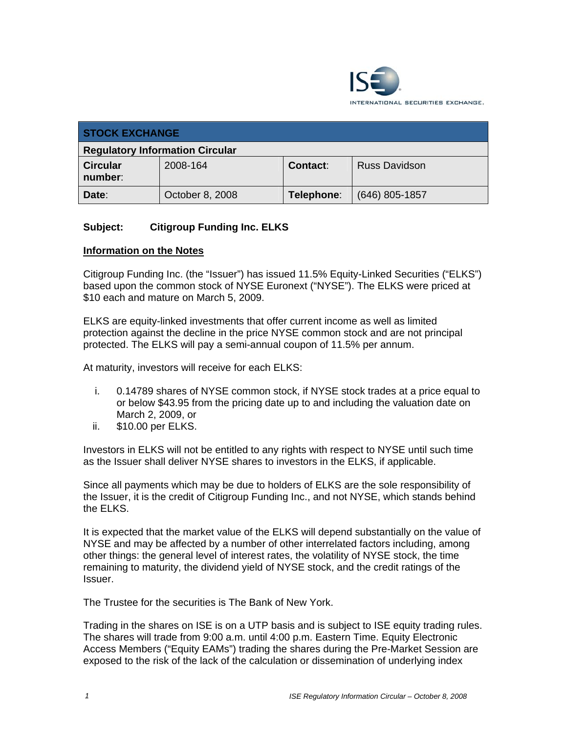

| <b>STOCK EXCHANGE</b>                  |                 |            |                      |
|----------------------------------------|-----------------|------------|----------------------|
| <b>Regulatory Information Circular</b> |                 |            |                      |
| <b>Circular</b><br>number:             | 2008-164        | Contact:   | <b>Russ Davidson</b> |
| Date:                                  | October 8, 2008 | Telephone: | $(646)$ 805-1857     |

## **Subject: Citigroup Funding Inc. ELKS**

#### **Information on the Notes**

Citigroup Funding Inc. (the "Issuer") has issued 11.5% Equity-Linked Securities ("ELKS") based upon the common stock of NYSE Euronext ("NYSE"). The ELKS were priced at \$10 each and mature on March 5, 2009.

ELKS are equity-linked investments that offer current income as well as limited protection against the decline in the price NYSE common stock and are not principal protected. The ELKS will pay a semi-annual coupon of 11.5% per annum.

At maturity, investors will receive for each ELKS:

- i. 0.14789 shares of NYSE common stock, if NYSE stock trades at a price equal to or below \$43.95 from the pricing date up to and including the valuation date on March 2, 2009, or
- ii. \$10.00 per ELKS.

Investors in ELKS will not be entitled to any rights with respect to NYSE until such time as the Issuer shall deliver NYSE shares to investors in the ELKS, if applicable.

Since all payments which may be due to holders of ELKS are the sole responsibility of the Issuer, it is the credit of Citigroup Funding Inc., and not NYSE, which stands behind the ELKS.

It is expected that the market value of the ELKS will depend substantially on the value of NYSE and may be affected by a number of other interrelated factors including, among other things: the general level of interest rates, the volatility of NYSE stock, the time remaining to maturity, the dividend yield of NYSE stock, and the credit ratings of the Issuer.

The Trustee for the securities is The Bank of New York.

Trading in the shares on ISE is on a UTP basis and is subject to ISE equity trading rules. The shares will trade from 9:00 a.m. until 4:00 p.m. Eastern Time. Equity Electronic Access Members ("Equity EAMs") trading the shares during the Pre-Market Session are exposed to the risk of the lack of the calculation or dissemination of underlying index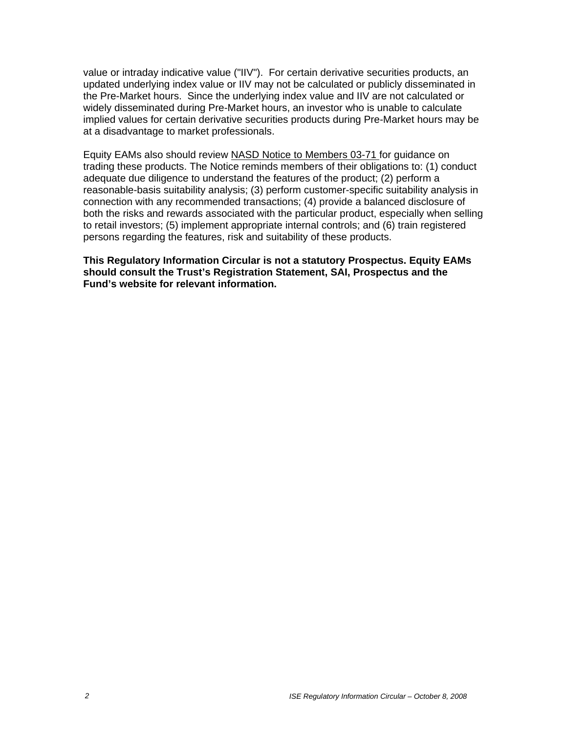value or intraday indicative value ("IIV"). For certain derivative securities products, an updated underlying index value or IIV may not be calculated or publicly disseminated in the Pre-Market hours. Since the underlying index value and IIV are not calculated or widely disseminated during Pre-Market hours, an investor who is unable to calculate implied values for certain derivative securities products during Pre-Market hours may be at a disadvantage to market professionals.

Equity EAMs also should review NASD Notice to Members 03-71 for guidance on trading these products. The Notice reminds members of their obligations to: (1) conduct adequate due diligence to understand the features of the product; (2) perform a reasonable-basis suitability analysis; (3) perform customer-specific suitability analysis in connection with any recommended transactions; (4) provide a balanced disclosure of both the risks and rewards associated with the particular product, especially when selling to retail investors; (5) implement appropriate internal controls; and (6) train registered persons regarding the features, risk and suitability of these products.

**This Regulatory Information Circular is not a statutory Prospectus. Equity EAMs should consult the Trust's Registration Statement, SAI, Prospectus and the Fund's website for relevant information.**